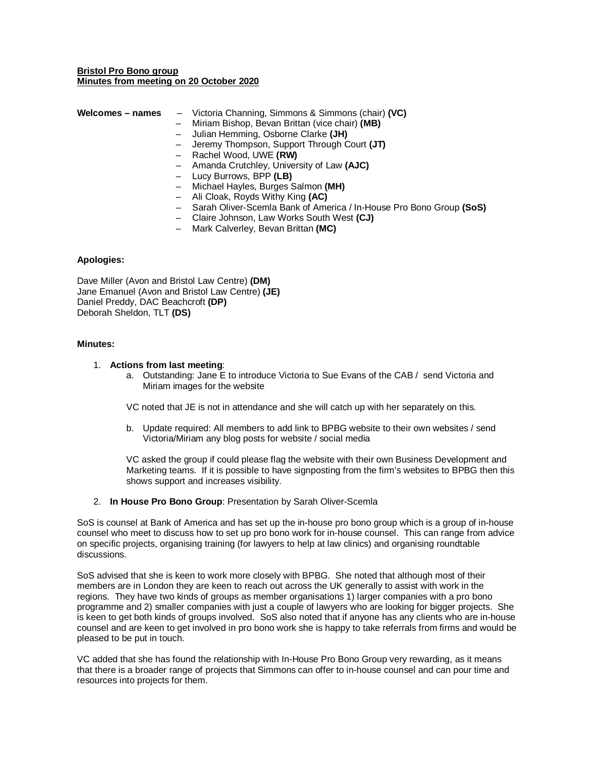## **Bristol Pro Bono group Minutes from meeting on 20 October 2020**

| Welcomes - names | - Victoria Channing, Simmons & Simmons (chair) (VC) |
|------------------|-----------------------------------------------------|
|                  | - Miriam Bishop, Bevan Brittan (vice chair) (MB)    |
|                  | - Julian Hemming, Osborne Clarke (JH)               |
|                  | - Jeremy Thompson, Support Through Court (JT)       |
|                  | - Rachel Wood, UWE (RW)                             |
|                  | - Amanda Crutchley, University of Law (AJC)         |
|                  | - Lucy Burrows, BPP (LB)                            |

- Michael Hayles, Burges Salmon **(MH)**
- Ali Cloak, Royds Withy King **(AC)**
- Sarah Oliver-Scemla Bank of America / In-House Pro Bono Group **(SoS)**
- Claire Johnson, Law Works South West **(CJ)**
- Mark Calverley, Bevan Brittan **(MC)**

### **Apologies:**

Dave Miller (Avon and Bristol Law Centre) **(DM)** Jane Emanuel (Avon and Bristol Law Centre) **(JE)** Daniel Preddy, DAC Beachcroft **(DP)**  Deborah Sheldon, TLT **(DS)**

### **Minutes:**

### 1. **Actions from last meeting**:

a. Outstanding: Jane E to introduce Victoria to Sue Evans of the CAB / send Victoria and Miriam images for the website

VC noted that JE is not in attendance and she will catch up with her separately on this.

b. Update required: All members to add link to BPBG website to their own websites / send Victoria/Miriam any blog posts for website / social media

VC asked the group if could please flag the website with their own Business Development and Marketing teams. If it is possible to have signposting from the firm's websites to BPBG then this shows support and increases visibility.

2. **In House Pro Bono Group**: Presentation by Sarah Oliver-Scemla

SoS is counsel at Bank of America and has set up the in-house pro bono group which is a group of in-house counsel who meet to discuss how to set up pro bono work for in-house counsel. This can range from advice on specific projects, organising training (for lawyers to help at law clinics) and organising roundtable discussions.

SoS advised that she is keen to work more closely with BPBG. She noted that although most of their members are in London they are keen to reach out across the UK generally to assist with work in the regions. They have two kinds of groups as member organisations 1) larger companies with a pro bono programme and 2) smaller companies with just a couple of lawyers who are looking for bigger projects. She is keen to get both kinds of groups involved. SoS also noted that if anyone has any clients who are in-house counsel and are keen to get involved in pro bono work she is happy to take referrals from firms and would be pleased to be put in touch.

VC added that she has found the relationship with In-House Pro Bono Group very rewarding, as it means that there is a broader range of projects that Simmons can offer to in-house counsel and can pour time and resources into projects for them.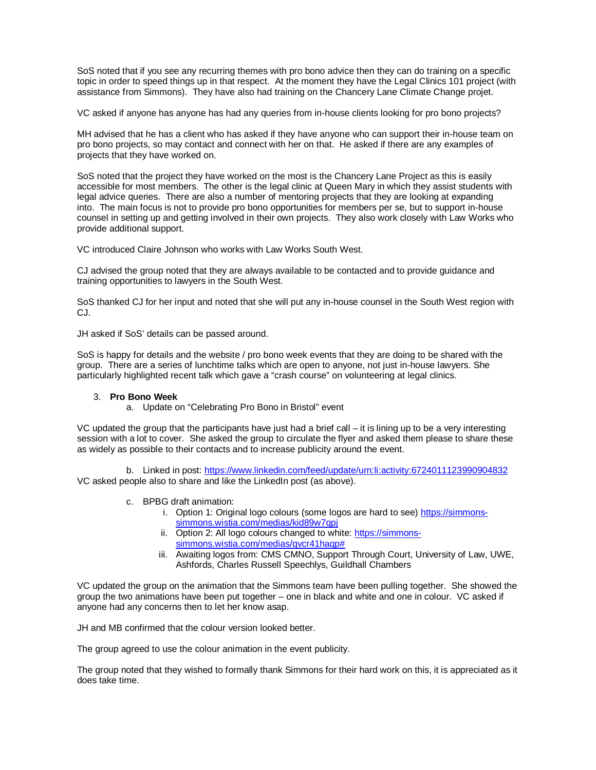SoS noted that if you see any recurring themes with pro bono advice then they can do training on a specific topic in order to speed things up in that respect. At the moment they have the Legal Clinics 101 project (with assistance from Simmons). They have also had training on the Chancery Lane Climate Change projet.

VC asked if anyone has anyone has had any queries from in-house clients looking for pro bono projects?

MH advised that he has a client who has asked if they have anyone who can support their in-house team on pro bono projects, so may contact and connect with her on that. He asked if there are any examples of projects that they have worked on.

SoS noted that the project they have worked on the most is the Chancery Lane Project as this is easily accessible for most members. The other is the legal clinic at Queen Mary in which they assist students with legal advice queries. There are also a number of mentoring projects that they are looking at expanding into. The main focus is not to provide pro bono opportunities for members per se, but to support in-house counsel in setting up and getting involved in their own projects. They also work closely with Law Works who provide additional support.

VC introduced Claire Johnson who works with Law Works South West.

CJ advised the group noted that they are always available to be contacted and to provide guidance and training opportunities to lawyers in the South West.

SoS thanked CJ for her input and noted that she will put any in-house counsel in the South West region with CJ.

JH asked if SoS' details can be passed around.

SoS is happy for details and the website / pro bono week events that they are doing to be shared with the group. There are a series of lunchtime talks which are open to anyone, not just in-house lawyers. She particularly highlighted recent talk which gave a "crash course" on volunteering at legal clinics.

# 3. **Pro Bono Week**

a. Update on "Celebrating Pro Bono in Bristol" event

VC updated the group that the participants have just had a brief call – it is lining up to be a very interesting session with a lot to cover. She asked the group to circulate the flyer and asked them please to share these as widely as possible to their contacts and to increase publicity around the event.

b. Linked in post: https://www.linkedin.com/feed/update/urn:li:activity:6724011123990904832 VC asked people also to share and like the LinkedIn post (as above).

- c. BPBG draft animation:
	- i. Option 1: Original logo colours (some logos are hard to see) https://simmonssimmons.wistia.com/medias/kid89w7qpj
	- ii. Option 2: All logo colours changed to white: https://simmonssimmons.wistia.com/medias/qvcr41haqp#
	- iii. Awaiting logos from: CMS CMNO, Support Through Court, University of Law, UWE, Ashfords, Charles Russell Speechlys, Guildhall Chambers

VC updated the group on the animation that the Simmons team have been pulling together. She showed the group the two animations have been put together – one in black and white and one in colour. VC asked if anyone had any concerns then to let her know asap.

JH and MB confirmed that the colour version looked better.

The group agreed to use the colour animation in the event publicity.

The group noted that they wished to formally thank Simmons for their hard work on this, it is appreciated as it does take time.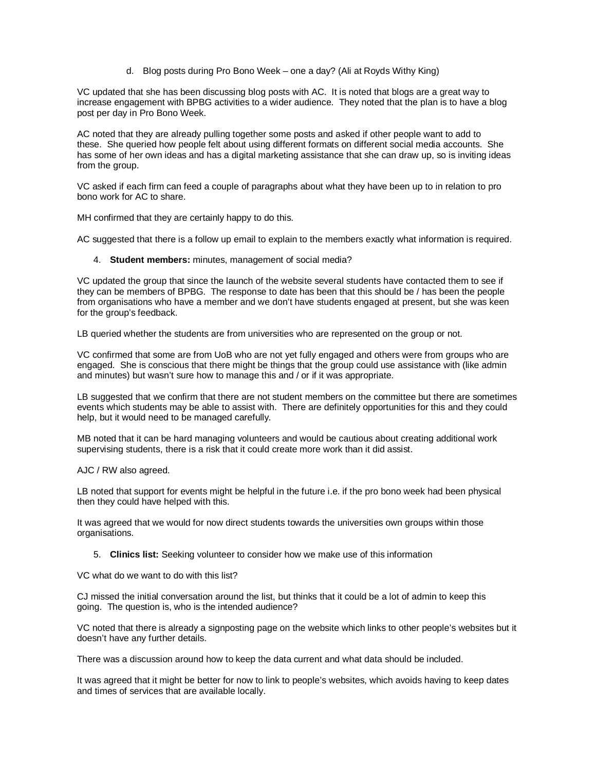d. Blog posts during Pro Bono Week – one a day? (Ali at Royds Withy King)

VC updated that she has been discussing blog posts with AC. It is noted that blogs are a great way to increase engagement with BPBG activities to a wider audience. They noted that the plan is to have a blog post per day in Pro Bono Week.

AC noted that they are already pulling together some posts and asked if other people want to add to these. She queried how people felt about using different formats on different social media accounts. She has some of her own ideas and has a digital marketing assistance that she can draw up, so is inviting ideas from the group.

VC asked if each firm can feed a couple of paragraphs about what they have been up to in relation to pro bono work for AC to share.

MH confirmed that they are certainly happy to do this.

AC suggested that there is a follow up email to explain to the members exactly what information is required.

### 4. **Student members:** minutes, management of social media?

VC updated the group that since the launch of the website several students have contacted them to see if they can be members of BPBG. The response to date has been that this should be / has been the people from organisations who have a member and we don't have students engaged at present, but she was keen for the group's feedback.

LB queried whether the students are from universities who are represented on the group or not.

VC confirmed that some are from UoB who are not yet fully engaged and others were from groups who are engaged. She is conscious that there might be things that the group could use assistance with (like admin and minutes) but wasn't sure how to manage this and / or if it was appropriate.

LB suggested that we confirm that there are not student members on the committee but there are sometimes events which students may be able to assist with. There are definitely opportunities for this and they could help, but it would need to be managed carefully.

MB noted that it can be hard managing volunteers and would be cautious about creating additional work supervising students, there is a risk that it could create more work than it did assist.

AJC / RW also agreed.

LB noted that support for events might be helpful in the future i.e. if the pro bono week had been physical then they could have helped with this.

It was agreed that we would for now direct students towards the universities own groups within those organisations.

5. **Clinics list:** Seeking volunteer to consider how we make use of this information

VC what do we want to do with this list?

CJ missed the initial conversation around the list, but thinks that it could be a lot of admin to keep this going. The question is, who is the intended audience?

VC noted that there is already a signposting page on the website which links to other people's websites but it doesn't have any further details.

There was a discussion around how to keep the data current and what data should be included.

It was agreed that it might be better for now to link to people's websites, which avoids having to keep dates and times of services that are available locally.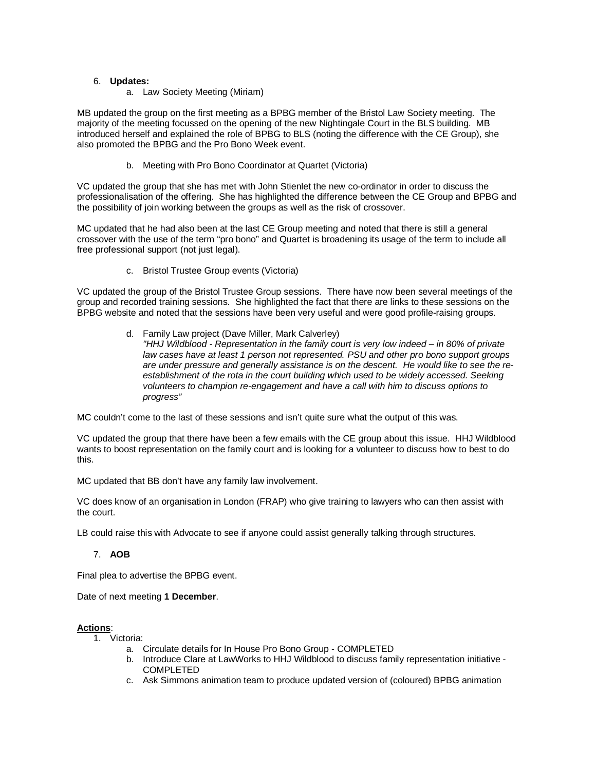# 6. **Updates:**

a. Law Society Meeting (Miriam)

MB updated the group on the first meeting as a BPBG member of the Bristol Law Society meeting. The majority of the meeting focussed on the opening of the new Nightingale Court in the BLS building. MB introduced herself and explained the role of BPBG to BLS (noting the difference with the CE Group), she also promoted the BPBG and the Pro Bono Week event.

b. Meeting with Pro Bono Coordinator at Quartet (Victoria)

VC updated the group that she has met with John Stienlet the new co-ordinator in order to discuss the professionalisation of the offering. She has highlighted the difference between the CE Group and BPBG and the possibility of join working between the groups as well as the risk of crossover.

MC updated that he had also been at the last CE Group meeting and noted that there is still a general crossover with the use of the term "pro bono" and Quartet is broadening its usage of the term to include all free professional support (not just legal).

c. Bristol Trustee Group events (Victoria)

VC updated the group of the Bristol Trustee Group sessions. There have now been several meetings of the group and recorded training sessions. She highlighted the fact that there are links to these sessions on the BPBG website and noted that the sessions have been very useful and were good profile-raising groups.

> d. Family Law project (Dave Miller, Mark Calverley) "HHJ Wildblood - Representation in the family court is very low indeed – in 80% of private law cases have at least 1 person not represented. PSU and other pro bono support groups are under pressure and generally assistance is on the descent. He would like to see the reestablishment of the rota in the court building which used to be widely accessed. Seeking volunteers to champion re-engagement and have a call with him to discuss options to progress"

MC couldn't come to the last of these sessions and isn't quite sure what the output of this was.

VC updated the group that there have been a few emails with the CE group about this issue. HHJ Wildblood wants to boost representation on the family court and is looking for a volunteer to discuss how to best to do this.

MC updated that BB don't have any family law involvement.

VC does know of an organisation in London (FRAP) who give training to lawyers who can then assist with the court.

LB could raise this with Advocate to see if anyone could assist generally talking through structures.

# 7. **AOB**

Final plea to advertise the BPBG event.

Date of next meeting **1 December**.

# **Actions**:

1. Victoria:

- a. Circulate details for In House Pro Bono Group COMPLETED
- b. Introduce Clare at LawWorks to HHJ Wildblood to discuss family representation initiative COMPLETED
- c. Ask Simmons animation team to produce updated version of (coloured) BPBG animation